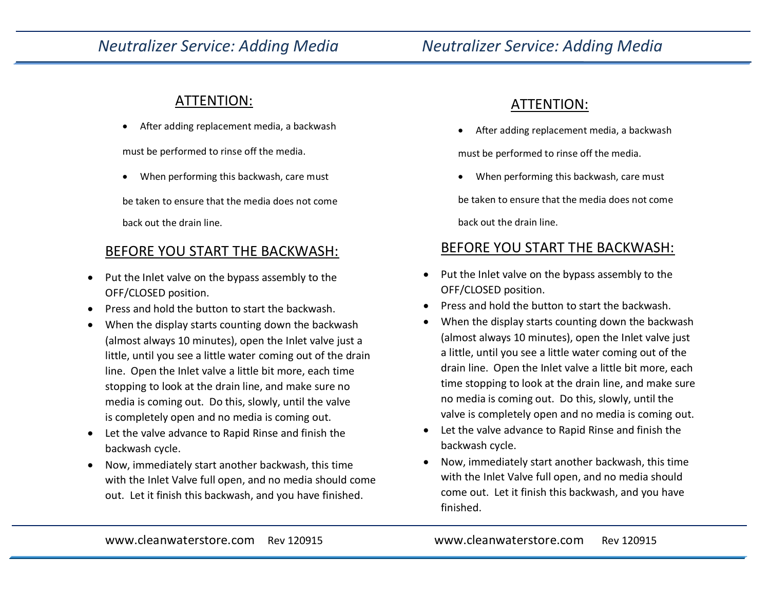# *Neutralizer Service: Adding Media Neutralizer Service: Adding Media*

#### ATTENTION:

After adding replacement media, a backwash

must be performed to rinse off the media.

When performing this backwash, care must

be taken to ensure that the media does not come back out the drain line.

## BEFORE YOU START THE BACKWASH:

- Put the Inlet valve on the bypass assembly to the OFF/CLOSED position.
- Press and hold the button to start the backwash.
- When the display starts counting down the backwash (almost always 10 minutes), open the Inlet valve just a little, until you see a little water coming out of the drain line. Open the Inlet valve a little bit more, each time stopping to look at the drain line, and make sure no media is coming out. Do this, slowly, until the valve is completely open and no media is coming out.
- Let the valve advance to Rapid Rinse and finish the backwash cycle.
- Now, immediately start another backwash, this time with the Inlet Valve full open, and no media should come out. Let it finish this backwash, and you have finished.

## ATTENTION:

After adding replacement media, a backwash

must be performed to rinse off the media.

When performing this backwash, care must

be taken to ensure that the media does not come back out the drain line.

## BEFORE YOU START THE BACKWASH:

- Put the Inlet valve on the bypass assembly to the OFF/CLOSED position.
- Press and hold the button to start the backwash.
- When the display starts counting down the backwash (almost always 10 minutes), open the Inlet valve just a little, until you see a little water coming out of the drain line. Open the Inlet valve a little bit more, each time stopping to look at the drain line, and make sure no media is coming out. Do this, slowly, until the valve is completely open and no media is coming out.
- Let the valve advance to Rapid Rinse and finish the backwash cycle.
- Now, immediately start another backwash, this time with the Inlet Valve full open, and no media should come out. Let it finish this backwash, and you have finished.